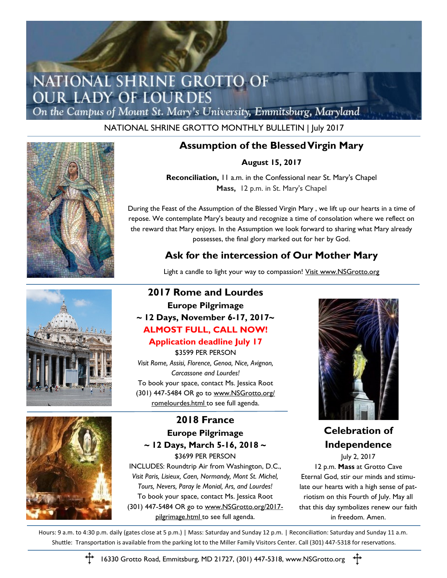## NATIONAL SHRINE GROTTO OF **OUR LADY OF LOURDES**

On the Campus of Mount St. Mary's University, Emmitsburg, Maryland

### NATIONAL SHRINE GROTTO MONTHLY BULLETIN | July 2017



## **Assumption of the Blessed Virgin Mary**

#### **August 15, 2017**

**Reconciliation,** 11 a.m. in the Confessional near St. Mary's Chapel **Mass,** 12 p.m. in St. Mary's Chapel

During the Feast of the Assumption of the Blessed Virgin Mary , we lift up our hearts in a time of repose. We contemplate Mary's beauty and recognize a time of consolation where we reflect on the reward that Mary enjoys. In the Assumption we look forward to sharing what Mary already possesses, the final glory marked out for her by God.

## **Ask for the intercession of Our Mother Mary**

Light a candle to light your way to compassion! Visit www.NSGrotto.org

## **2017 Rome and Lourdes Europe Pilgrimage**

## **~ 12 Days, November 6-17, 2017~ ALMOST FULL, CALL NOW!**

**Application deadline July 17** \$3599 PER PERSON *Visit Rome, Assisi, Florence, Genoa, Nice, Avignon, Carcassone and Lourdes!*  To book your space, contact Ms. Jessica Root (301) 447-5484 OR go to www.NSGrotto.org/ romelourdes.html to see full agenda.

## **2018 France Europe Pilgrimage ~ 12 Days, March 5-16, 2018 ~** \$3699 PER PERSON

INCLUDES: Roundtrip Air from Washington, D.C., *Visit Paris, Lisieux, Caen, Normandy, Mont St. Michel, Tours, Nevers, Paray le Monial, Ars, and Lourdes!* To book your space, contact Ms. Jessica Root (301) 447-5484 OR go to www.NSGrotto.org/2017 pilgrimage.html to see full agenda.



## **Celebration of Independence**

July 2, 2017 12 p.m. **Mass** at Grotto Cave Eternal God, stir our minds and stimulate our hearts with a high sense of patriotism on this Fourth of July. May all that this day symbolizes renew our faith in freedom. Amen.

Hours: 9 a.m. to 4:30 p.m. daily (gates close at 5 p.m.) | Mass: Saturday and Sunday 12 p.m. | Reconciliation: Saturday and Sunday 11 a.m. Shuttle: Transportation is available from the parking lot to the Miller Family Visitors Center. Call (301) 447-5318 for reservations.



16330 Grotto Road, Emmitsburg, MD 21727, (301) 447-5318, www.NSGrotto.org